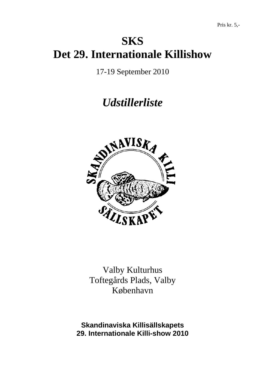# **SKS Det 29. Internationale Killishow**

17-19 September 2010

# *Udstillerliste*



Valby Kulturhus Toftegårds Plads, Valby København

**Skandinaviska Killisällskapets 29. Internationale Killi-show 2010**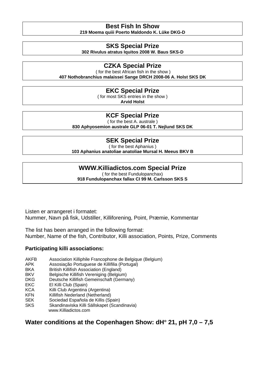## **Best Fish In Show**

**219 Moema quiii Poerto Maldondo K. Lüke DKG-D** 

#### **SKS Special Prize**

**302 Rivulus atratus Iquitos 2008 W. Baus SKS-D** 

### **CZKA Special Prize**

 ( for the best African fish in the show ) **407 Nothobranchius malaissei Sange DRCH 2008-06 A. Holst SKS DK** 

#### **EKC Special Prize**

( for most SKS entries in the show )

**Arvid Holst** 

#### **KCF Special Prize**

( for the best A. australe )

**830 Aphyosemion australe GLP 06-01 T. Nejlund SKS DK** 

### **SEK Special Prize**

( for the best Aphanius ) **103 Aphanius anatoliae anatoliae Mursal H. Meeus BKV B** 

### **WWW.Killiadictos.com Special Prize**

( for the best Fundulopanchax) **918 Fundulopanchax fallax CI 99 M. Carlsson SKS S** 

Listen er arrangeret i formatet: Nummer, Navn på fisk, Udstiller, Killiforening, Point, Præmie, Kommentar

The list has been arranged in the following format: Number, Name of the fish, Contributor, Killi association, Points, Prize, Comments

#### **Participating killi associations:**

- AKFB Association Killiphile Francophone de Belgique (Belgium)
- APK Assosiação Portuguese de Killifilia (Portugal)
- BKA British Killifish Association (England)
- BKV Belgische Killifish Vereniging (Belgium)
- DKG Deutsche Killifish Gemeinschaft (Germany)
- EKC El Killi Club (Spain)
- KCA Killi Club Argentina (Argentina)
- KFN Killifish Nederland (Netherland)
- SEK Sociedad Española de Killis (Spain)
- SKS Skandinaviska Killi Sällskapet (Scandinavia) www.Killiadictos.com

### **Water conditions at the Copenhagen Show: dH**° **21, pH 7,0 – 7,5**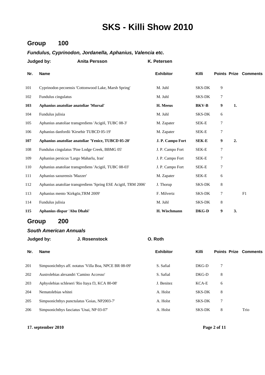### **Group 100**

#### *Fundulus, Cyprinodon, Jordanella, Aphanius, Valencia etc.*

|     | Judged by:<br><b>Anita Persson</b>                             | K. Petersen      |               |   |    |                              |
|-----|----------------------------------------------------------------|------------------|---------------|---|----|------------------------------|
| Nr. | <b>Name</b>                                                    | <b>Exhibitor</b> | Killi         |   |    | <b>Points Prize Comments</b> |
| 101 | Cyprinodon pecoensis 'Cottonwood Lake, Marsh Spring'           | M. Juhl          | <b>SKS-DK</b> | 9 |    |                              |
| 102 | Fundulus cingulatus                                            | M. Juhl          | SKS-DK        | 7 |    |                              |
| 103 | Aphanius anatoliae anatoliae 'Mursal'                          | H. Meeus         | <b>BKV-B</b>  | 9 | 1. |                              |
| 104 | Fundulus julisia                                               | M. Juhl          | <b>SKS-DK</b> | 6 |    |                              |
| 105 | Aphanius anatoliae transgrediens 'Acigöl, TUBC 08-3'           | M. Zapater       | SEK-E         | 7 |    |                              |
| 106 | Aphanius danfordii 'Kirsehir TUBCD 05-19'                      | M. Zapater       | SEK-E         | 7 |    |                              |
| 107 | Aphanius anatoliae anatoliae 'Yenice, TUBCD 05-20'             | J. P. Campo Fort | <b>SEK-E</b>  | 9 | 2. |                              |
| 108 | Fundulus cingulatus 'Pine Lodge Creek, BBMG 05'                | J. P. Campo Fort | SEK-E         | 7 |    |                              |
| 109 | Aphanius persicus 'Largo Maharlu, Iran'                        | J. P. Campo Fort | SEK-E         | 7 |    |                              |
| 110 | Aphanius anatoliae transgrediens 'Acigöl, TUBC 08-03'          | J. P. Campo Fort | SEK-E         | 7 |    |                              |
| 111 | Aphanius saourensis 'Mazzer'                                   | M. Zapater       | SEK-E         | 6 |    |                              |
| 112 | Aphanius anatoliae transgrediens 'Spring ESE Acigöl, TRM 2006' | J. Thorup        | <b>SKS-DK</b> | 8 |    |                              |
| 113 | Aphanius mento 'Kirkgöz, TRM 2009'                             | F. Milvertz      | <b>SKS-DK</b> | 7 |    | F1                           |
| 114 | Fundulus julisia                                               | M. Juhl          | SKS-DK        | 8 |    |                              |
| 115 | Aphanius dispar 'Abu Dhabi'                                    | H. Wischmann     | DKG-D         | 9 | 3. |                              |

### **Group 200**

#### *South American Annuals*

|     | Judged by:<br>J. Rosenstock                            | O. Roth          |               |                              |      |
|-----|--------------------------------------------------------|------------------|---------------|------------------------------|------|
| Nr. | <b>Name</b>                                            | <b>Exhibitor</b> | Killi         | <b>Points Prize Comments</b> |      |
| 201 | Simpsonichthys aff. notatus 'Villa Boa, NPCE BR 08-09' | S. Safial        | DKG-D         | 7                            |      |
| 202 | Austrolebias alexandri 'Camino Accesso'                | S. Safial        | DKG-D         | 8                            |      |
| 203 | Aphyolebias schleseri 'Rio Itaya f3, KCA 80-08'        | J. Benitez       | KCA-E         | 6                            |      |
| 204 | Nematolebias whitei                                    | A. Holst         | <b>SKS-DK</b> | 8                            |      |
| 205 | Simpsonichthys punctulatus 'Goias, NP2003-7'           | A. Holst         | <b>SKS-DK</b> | 7                            |      |
| 206 | Simpsonichthys fasciatus 'Unai, NP 03-07'              | A. Holst         | <b>SKS-DK</b> | 8                            | Trio |
|     |                                                        |                  |               |                              |      |

**17. september 2010 Page 2 of 11**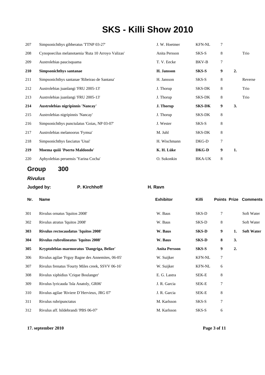| 207        | Simpsonichthys gibberatus 'TTNP 03-27'             | J. W. Hoetmer | <b>KFN-NL</b> | 7              |    |         |
|------------|----------------------------------------------------|---------------|---------------|----------------|----|---------|
| 208        | Cynopoecilus melanotaenia 'Ruta 10 Arroyo Valizas' | Anita Persson | SKS-S         | 8              |    | Trio    |
| 209        | Austrolebias paucisquama                           | T. V. Eecke   | BKV-B         | 7              |    |         |
| <b>210</b> | Simpsonichthys santanae                            | H. Jansson    | SKS-S         | 9              | 2. |         |
| 211        | Simpsonichthys santanae 'Ribeirao de Santana'      | H. Jansson    | SKS-S         | 8              |    | Reverse |
| 212        | Austrolebias juanlangi 'FRU 2005-13'               | J. Thorup     | SKS-DK        | 8              |    | Trio    |
| 213        | Austrolebias juanlangi 'FRU 2005-13'               | J. Thorup     | SKS-DK        | 8              |    | Trio    |
| 214        | Austrolebias nigripinnis 'Nancay'                  | J. Thorup     | <b>SKS-DK</b> | 9              | 3. |         |
| 215        |                                                    |               | <b>SKS-DK</b> | 8              |    |         |
|            | Austrolebias nigripinnis 'Nancay'                  | J. Thorup     |               |                |    |         |
| 216        | Simpsonichthys punctulatus 'Goias, NP 03-07'       | J. Wester     | SKS-S         | 8              |    |         |
| 217        | Austrolebias melanoorus 'Fymsa'                    | M. Juhl       | <b>SKS-DK</b> | 8              |    |         |
| 218        | Simpsonichthys fasciatus 'Unai'                    | H. Wischmann  | DKG-D         | $\overline{7}$ |    |         |
| 219        | Moema quiii 'Poerto Maldondo'                      | K. H. Lüke    | DKG-D         | 9              | 1. |         |

## **Group 300**

*Rivulus*

| Judged by:             | H. Ravn                                                                                                                                                                                                                                                                                                                                                                                                                                                                                           |                      |                  |                |    |                              |  |
|------------------------|---------------------------------------------------------------------------------------------------------------------------------------------------------------------------------------------------------------------------------------------------------------------------------------------------------------------------------------------------------------------------------------------------------------------------------------------------------------------------------------------------|----------------------|------------------|----------------|----|------------------------------|--|
| <b>Name</b>            |                                                                                                                                                                                                                                                                                                                                                                                                                                                                                                   |                      | Killi            |                |    |                              |  |
|                        |                                                                                                                                                                                                                                                                                                                                                                                                                                                                                                   | W. Baus              | SKS-D            | 7              |    | Soft Water                   |  |
|                        |                                                                                                                                                                                                                                                                                                                                                                                                                                                                                                   | W. Baus              | SKS-D            | 8              |    | Soft Water                   |  |
|                        |                                                                                                                                                                                                                                                                                                                                                                                                                                                                                                   | W. Baus              | <b>SKS-D</b>     | 9              | 1. | <b>Soft Water</b>            |  |
|                        |                                                                                                                                                                                                                                                                                                                                                                                                                                                                                                   | W. Baus              | <b>SKS-D</b>     | 8              | 3. |                              |  |
|                        |                                                                                                                                                                                                                                                                                                                                                                                                                                                                                                   | <b>Anita Persson</b> | SKS-S            | 9              | 2. |                              |  |
|                        |                                                                                                                                                                                                                                                                                                                                                                                                                                                                                                   | W. Suijker           | <b>KFN-NL</b>    | 7              |    |                              |  |
|                        |                                                                                                                                                                                                                                                                                                                                                                                                                                                                                                   | W. Suijker           | <b>KFN-NL</b>    | 6              |    |                              |  |
|                        |                                                                                                                                                                                                                                                                                                                                                                                                                                                                                                   | E. G. Lastra         | SEK-E            | 8              |    |                              |  |
|                        |                                                                                                                                                                                                                                                                                                                                                                                                                                                                                                   | J. R. Garcia         | SEK-E            | 7              |    |                              |  |
|                        |                                                                                                                                                                                                                                                                                                                                                                                                                                                                                                   | J. R. Garcia         | SEK-E            | 8              |    |                              |  |
| Rivulus rubripunctatus |                                                                                                                                                                                                                                                                                                                                                                                                                                                                                                   | M. Karlsson          | SKS-S            | $\overline{7}$ |    |                              |  |
|                        |                                                                                                                                                                                                                                                                                                                                                                                                                                                                                                   | M. Karlsson          | SKS-S            | 6              |    |                              |  |
|                        | P. Kirchhoff<br>Rivulus ornatus 'Iquitos 2008'<br>Rivulus atratus 'Iquitos 2008'<br>Rivulus rectocaudatus 'Iquitos 2008'<br>Rivulus rubrolineatus 'Iquitos 2008'<br>Kryptolebias marmoratus 'Dangriga, Belize'<br>Rivulus agilae 'Frguy Bagne des Annemites, 06-05'<br>Rivulus frenatus 'Fourty Miles creek, SSVV 06-16'<br>Rivulus xiphidius 'Crique Boulanger'<br>Rivulus lyricauda 'Isla Anatoly, GR06'<br>Rivulus agilae 'Riviere D'Hervieux, JRG 07'<br>Rivulus aff. hildebrandi 'PBS 06-07' |                      | <b>Exhibitor</b> |                |    | <b>Points Prize Comments</b> |  |

**17. september 2010 Page 3 of 11**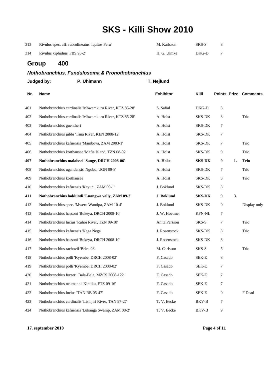| 313 | Rivulus spec. aff. rubrolineatus 'Iquitos Peru' | M. Karlsson | SKS-S |  |
|-----|-------------------------------------------------|-------------|-------|--|
| 314 | Rivulus xiphidius 'FBS 95-2'                    | H. G. Ulmke | DKG-D |  |

## **Group 400**

#### *Nothobranchius, Fundulosoma & Pronothobranchius*

|     | Judged by:                                     | P. Uhlmann                                             | T. Nejlund       |                      |                  |    |                              |
|-----|------------------------------------------------|--------------------------------------------------------|------------------|----------------------|------------------|----|------------------------------|
| Nr. | <b>Name</b>                                    |                                                        | <b>Exhibitor</b> | Killi                |                  |    | <b>Points Prize Comments</b> |
| 401 |                                                | Nothobranchius cardinalis 'Mbwemkuru River, KTZ 85-28' | S. Safial        | DKG-D                | 8                |    |                              |
| 402 |                                                | Nothobranchius cardinalis 'Mbwemkuru River, KTZ 85-28' | A. Holst         | SKS-DK               | 8                |    | Trio                         |
| 403 | Nothobranchius guentheri                       |                                                        | A. Holst         | <b>SKS-DK</b>        | $\tau$           |    |                              |
| 404 |                                                | Nothobranchius jubbi 'Tana River, KEN 2008-12'         | A. Holst         | SKS-DK               | $\tau$           |    |                              |
| 405 |                                                | Nothobranchius kafuensis 'Mambova, ZAM 2003-1'         | A. Holst         | SKS-DK               | 7                |    | Trio                         |
| 406 |                                                | Nothobranchius korthausae 'Mafia Island, TZN 08-02'    | A. Holst         | SKS-DK               | 9                |    | Trio                         |
| 407 |                                                | Nothobranchius malaissei 'Sange, DRCH 2008-06'         | A. Holst         | <b>SKS-DK</b>        | 9                | 1. | <b>Trio</b>                  |
| 408 | Nothobranchius ugandensis 'Ngobo, UGN 09-8'    |                                                        | A. Holst         | SKS-DK               | 7                |    | Trio                         |
| 409 | Nothobranchius korthausae                      |                                                        | A. Holst         | SKS-DK               | 8                |    | Trio                         |
| 410 | Nothobranchius kafuensis 'Kayuni, ZAM 09-1'    |                                                        | J. Boklund       | SKS-DK               | 8                |    |                              |
| 411 |                                                | Nothobranchius boklundi 'Luangwa vally, ZAM 09-2'      | J. Boklund       | <b>SKS-DK</b>        | 9                | 3. |                              |
| 412 |                                                | Nothobranchius spec. 'Mweru Wantipa, ZAM 10-4'         | J. Boklund       | SKS-DK               | $\boldsymbol{0}$ |    | Display only                 |
| 413 |                                                | Nothobranchius hassoni 'Bukeya, DRCH 2008-10'          | J. W. Hoetmer    | <b>KFN-NL</b>        | 7                |    |                              |
| 414 | Nothobranchius lucius 'Ruhoi River, TZN 09-10' |                                                        | Anita Persson    | SKS-S                | 7                |    | Trio                         |
| 415 | Nothobranchius kafuensis 'Nega Nega'           |                                                        | J. Rosenstock    | SKS-DK               | 8                |    | Trio                         |
| 416 |                                                | Nothobranchius hassoni 'Bukeya, DRCH 2008-10'          | J. Rosenstock    | SKS-DK               | 8                |    |                              |
| 417 | Nothobranchius rachovii 'Beira 98'             |                                                        | M. Carlsson      | SKS-S                | 5                |    | Trio                         |
| 418 | Nothobranchius polli 'Kyembe, DRCH 2008-02'    |                                                        | F. Casado        | SEK-E                | 8                |    |                              |
| 419 | Nothobranchius polli 'Kyembe, DRCH 2008-02'    |                                                        | F. Casado        | SEK-E                | 7                |    |                              |
| 420 |                                                | Nothobranchius furzeri 'Bala-Bala, MZCS 2008-122'      | F. Casado        | SEK-E                | $\tau$           |    |                              |
| 421 | Nothobranchius neumanni 'Kintiku, FTZ 09-16'   |                                                        | F. Casado        | ${\rm SEK\text{-}E}$ | $\tau$           |    |                              |
| 422 | Nothobranchius lucius 'TAN RB 05-47'           |                                                        | F. Casado        | SEK-E                | $\boldsymbol{0}$ |    | F Dead                       |
| 423 |                                                | Nothobranchius cardinalis 'Lisinjiri River, TAN 97-27' | T. V. Eecke      | BKV-B                | 7                |    |                              |
| 424 |                                                | Nothobranchius kafuensis 'Lukanga Swamp, ZAM 08-2'     | T. V. Eecke      | <b>BKV-B</b>         | $\overline{9}$   |    |                              |

**17. september 2010 Page 4 of 11**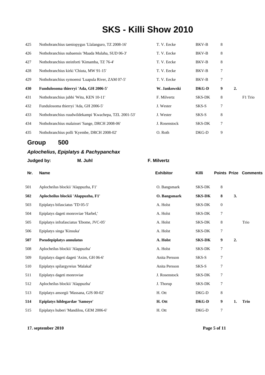| 425 | Nothobranchius taeniopygus 'Llalanguro, TZ 2008-16'   | T. V. Eecke   | BKV-B        | 8 |    |         |
|-----|-------------------------------------------------------|---------------|--------------|---|----|---------|
| 426 | Nothobranchius nubaensis 'Maada Mulaha, SUD 06-3'     | T. V. Eecke   | BKV-B        | 8 |    |         |
| 427 | Nothobranchius steinforti 'Kimamba, TZ 76-4'          | T. V. Eecke   | BKV-B        | 8 |    |         |
| 428 | Nothobranchius kirki 'Chiuta, MW 91-15'               | T. V. Eecke   | BKV-B        | 7 |    |         |
| 429 | Nothobranchius symoensi 'Luapula River, ZAM 07-5'     | T. V. Eecke   | BKV-B        | 7 |    |         |
| 430 | Fundulosoma thierryi 'Ada, GH 2006-5'                 | W. Jankowski  | <b>DKG-D</b> | 9 | 2. |         |
| 431 | Nothobranchius jubbi 'Witu, KEN 10-11'                | F. Milvertz   | SKS-DK       | 8 |    | F1 Trio |
| 432 | Fundulosoma thierryi 'Ada, GH 2006-5'                 | J. Wester     | SKS-S        | 7 |    |         |
| 433 | Nothobranchius ruudwildekampi 'Kwachepa, TZL 2001-53' | J. Wester     | SKS-S        | 8 |    |         |
| 434 | Nothobranchius malaissei 'Sange, DRCH 2008-06'        | J. Rosenstock | SKS-DK       | 7 |    |         |
|     |                                                       |               |              |   |    |         |

### **Group 500**

#### *Aplochelius, Epiplatys & Pachypanchax*

| <b>Name</b>                              | <b>Exhibitor</b>      | Killi         |                  | <b>Points Prize Comments</b> |
|------------------------------------------|-----------------------|---------------|------------------|------------------------------|
| Aplocheilus blockii 'Alappuzha, F1'      | O. Bangsmark          | SKS-DK        | $\,8\,$          |                              |
| Aplocheilus blockii 'Alappuzha, F1'      | O. Bangsmark          | <b>SKS-DK</b> | 8                | 3.                           |
| Epiplatys bifasciatus 'TD 05-5'          | A. Holst              | SKS-DK        | $\boldsymbol{0}$ |                              |
| Epiplatys dageti monroviae 'Harbel,'     | A. Holst              | SKS-DK        | 7                |                              |
| Epiplatys infrafasciatus 'Ebome, JVC-05' | A. Holst              | <b>SKS-DK</b> | 8                | Trio                         |
| Epiplatys singa 'Kinsuka'                | A. Holst              | <b>SKS-DK</b> | 7                |                              |
| <b>Pseudepiplatys annulatus</b>          | A. Holst              | <b>SKS-DK</b> | 9                |                              |
| Aplocheilus blockii 'Alappuzha'          | A. Holst              | <b>SKS-DK</b> | 7                |                              |
| Epiplatys dageti dageti 'Axim, GH 06-6'  | Anita Persson         | SKS-S         | 7                |                              |
| Epiplatys spilargyreius 'Malakal'        | Anita Persson         | SKS-S         | 7                |                              |
| Epiplatys dageti monroviae               | J. Rosenstock         | <b>SKS-DK</b> | 7                |                              |
| Aplocheilus blockii 'Alappuzha'          | J. Thorup             | SKS-DK        | 7                |                              |
| Epiplatys ansorgii 'Massana, GJS 00-02'  | H. Ott                | DKG-D         | 8                |                              |
| Epiplatys hildegardae 'Samoye'           | H. Ott                | DKG-D         | 9                | 1.<br><b>Trio</b>            |
| Epiplatys huberi 'Mandilou, GEM 2006-6'  | H. Ott                | DKG-D         | 7                |                              |
|                                          | Judged by:<br>M. Juhl | F. Milvertz   |                  | 2.                           |

**17. september 2010 Page 5 of 11**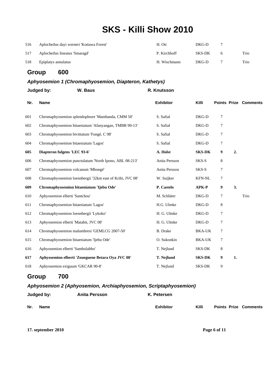| 516 | Aplocheilus dayi werneri 'Kottawa Forest' | H. Ott       | DKG-D  |      |
|-----|-------------------------------------------|--------------|--------|------|
| 517 | Aplocheilus lineatus 'Smaragd'            | P. Kirchhoff | SKS-DK | Trio |
| 518 | Epiplatys annulatus                       | H. Wischmann | DKG-D  | Trio |

### **Group 600**

#### *Aphyosemion 1 (Chromaphyosemion, Diapteron, Kathetys)*

|     | W. Baus<br>Judged by:                                     | R. Knutsson      |               |   |    |                              |
|-----|-----------------------------------------------------------|------------------|---------------|---|----|------------------------------|
| Nr. | <b>Name</b>                                               | <b>Exhibitor</b> | Killi         |   |    | <b>Points Prize Comments</b> |
| 601 | Chromaphyosemion splendopleure 'Mambanda, CMM 50'         | S. Safial        | DKG-D         | 7 |    |                              |
| 602 | Chromaphyosemion bitaeniatum 'Afanyangan, TMBB 90-13'     | S. Safial        | DKG-D         | 7 |    |                              |
| 603 | Chromaphyosemion bivittatum 'Fungé, C 98'                 | S. Safial        | DKG-D         | 7 |    |                              |
| 604 | Chromaphyosemion bitaeniatum 'Lagos'                      | S. Safial        | DKG-D         | 7 |    |                              |
| 605 | Diapteron fulgens 'LEC 93-6'                              | A. Holst         | <b>SKS-DK</b> | 9 | 2. |                              |
| 606 | Chromaphyosemion punctulatum 'North Ipono, ABL 08-213'    | Anita Persson    | SKS-S         | 8 |    |                              |
| 607 | Chromaphyosemion volcanum 'Mbongé'                        | Anita Persson    | SKS-S         | 7 |    |                              |
| 608 | Chromaphyosemion loennbergii '32km east of Kribi, JVC 08' | W. Suijker       | <b>KFN-NL</b> | 7 |    |                              |
| 609 | Chromaphyosemion bitaeniatum 'Ijebu Ode'                  | P. Castelo       | <b>APK-P</b>  | 9 | 3. |                              |
| 610 | Aphyosemion elberti 'Santchou'                            | M. Schlüter      | DKG-D         | 7 |    | Trio                         |
| 611 | Chromaphyosemion bitaeniatum 'Lagos'                      | H.G. Ulmke       | DKG-D         | 8 |    |                              |
| 612 | Chromaphyosemion loennbergii 'Lykoko'                     | H. G. Ulmke      | DKG-D         | 7 |    |                              |
| 613 | Aphyosemion elberti 'Matabit, JVC 08'                     | H. G. Ulmke      | DKG-D         | 7 |    |                              |
| 614 | Chromaphyosemion malumbresi 'GEMLCG 2007-50'              | <b>B.</b> Drake  | <b>BKA-UK</b> | 7 |    |                              |
| 615 | Chromaphyosemion bitaeniatum 'Ijebu Ode'                  | O. Sukonkin      | <b>BKA-UK</b> | 7 |    |                              |
| 616 | Aphyosemion elberti 'Sambolabbo'                          | T. Nejlund       | SKS-DK        | 8 |    |                              |
| 617 | Aphyosemion elberti 'Zoueguene Betara Oya JVC 08'         | T. Nejlund       | <b>SKS-DK</b> | 9 | 1. |                              |
| 618 | Aphyosemion exiguum 'GKCAR 90-8'                          | T. Nejlund       | SKS-DK        | 9 |    |                              |

### **Group 700**

#### *Aphyosemion 2 (Aphyosemion, Archiaphyosemion, Scriptaphyosemion)*

|     | Judged by: | <b>Anita Persson</b> | K. Petersen      |       |                              |
|-----|------------|----------------------|------------------|-------|------------------------------|
| Nr. | Name       |                      | <b>Exhibitor</b> | Killi | <b>Points Prize Comments</b> |

**17. september 2010 Page 6 of 11**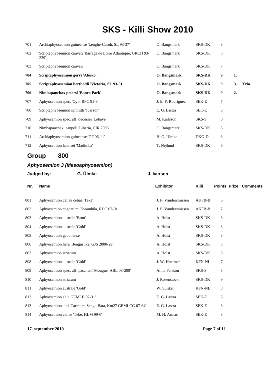| 701 | Archiaphyosemion guineense 'Lenghe-Curoh, SL 93-37'                      | O. Bangsmark       | SKS-DK        | 8        |    |      |
|-----|--------------------------------------------------------------------------|--------------------|---------------|----------|----|------|
| 702 | Scriptaphyosemion cauveti 'Barrage de Loire Atlantique, GRCH 93-<br>239' | O. Bangsmark       | SKS-DK        | 8        |    |      |
| 703 | Scriptaphyosemion cauveti                                                | O. Bangsmark       | SKS-DK        | $\tau$   |    |      |
| 704 | Scriptaphyosemion geryi 'Abuko'                                          | O. Bangsmark       | <b>SKS-DK</b> | 9        | 1. |      |
| 705 | Scriptaphyosemion bertholdi 'Victoria, SL 93-51'                         | O. Bangsmark       | <b>SKS-DK</b> | 9        | 3. | Trio |
| 706 | Nimbapanchax petersi 'Banco Park'                                        | O. Bangsmark       | <b>SKS-DK</b> | 9        | 2. |      |
| 707 | Aphyosemion spec. 'Oyo, RPC 91-8'                                        | J. E. P. Rodriguez | SEK-E         | 7        |    |      |
| 708 | Scriptaphyosemion schmitti 'Juarzon'                                     | E. G. Lastra       | SEK-E         | 6        |    |      |
| 709 | Aphyosemion spec. aff. decorsei 'Lobaye'                                 | M. Karlsson        | SKS-S         | $\theta$ |    |      |
| 710 | Nimbapanchax jeanpoli 'Liberia, CIR 2006'                                | O. Bangsmark       | SKS-DK        | 8        |    |      |
| 711 | Archiaphyosemion guineense 'GF 06-11'                                    | H. G. Ulmke        | DKG-D         | 8        |    |      |
| 712 | Aphyosemion labarrei 'Madimba'                                           | T. Nejlund         | <b>SKS-DK</b> | 6        |    |      |

### **Group 800**

### *Aphyosemion 3 (Mesoaphyosemion)*

## **Judged by: G. Ülmke J. Iversen**

| Nr. | Name                                                       | <b>Exhibitor</b>    | Killi         | <b>Points Prize Comments</b> |  |
|-----|------------------------------------------------------------|---------------------|---------------|------------------------------|--|
| 801 | Aphyosemion celiae celiae 'Teke'                           | J. P. Vandersmissen | AKFB-B        | 6                            |  |
| 802 | Aphyosemion cognatum 'Kwambila, RDC 07-01'                 | J. P. Vandersmissen | AKFB-B        | 7                            |  |
| 803 | Aphyosemion australe 'Brun'                                | A. Holst            | <b>SKS-DK</b> | 8                            |  |
| 804 | Aphyosemion australe 'Gold'                                | A. Holst            | <b>SKS-DK</b> | 8                            |  |
| 805 | Aphyosemion gabunense                                      | A. Holst            | <b>SKS-DK</b> | 8                            |  |
| 806 | Aphyosemion hera 'Bengui 1-2, GJS 2000-29'                 | A. Holst            | <b>SKS-DK</b> | 8                            |  |
| 807 | Aphyosemion striatum                                       | A. Holst            | SKS-DK        | 8                            |  |
| 808 | Aphyosemion australe 'Gold'                                | J. W. Hoetmer       | <b>KFN-NL</b> | 7                            |  |
| 809 | Aphyosemion spec. aff. pascheni 'Mougue, ABL 08-200'       | Anita Persson       | SKS-S         | 8                            |  |
| 810 | Aphyosemion striatum                                       | J. Rosenstock       | <b>SKS-DK</b> | 9                            |  |
| 811 | Aphyosemion australe 'Gold'                                | W. Suijker          | <b>KFN-NL</b> | 8                            |  |
| 812 | Aphyosemion ahli 'GEMLB 02-31'                             | E. G. Lastra        | SEK-E         | 8                            |  |
| 813 | Aphyosemion ahli 'Carretera Senge-Bata, Km27 GEMLCG 07-64' | E. G. Lastra        | SEK-E         | 8                            |  |
| 814 | Aphyosemion celiae 'Teke, HLM 99-6'                        | M. H. Armas         | SEK-E         | 8                            |  |
|     |                                                            |                     |               |                              |  |

**17. september 2010 Page 7 of 11**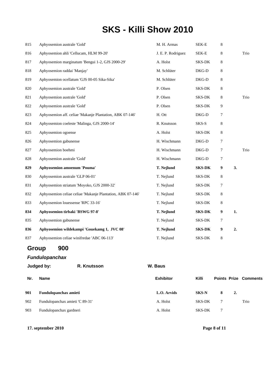| 815 | Aphyosemion australe 'Gold'                                | M. H. Armas        | SEK-E         | 8      |      |  |
|-----|------------------------------------------------------------|--------------------|---------------|--------|------|--|
| 816 | Aphyosemion ahli 'Cellucam, HLM 99-20'                     | J. E. P. Rodriguez | SEK-E         | 8      | Trio |  |
| 817 | Aphyosemion marginatum 'Bengui 1-2, GJS 2000-29'           | A. Holst           | SKS-DK        | 8      |      |  |
| 818 | Aphyosemion raddai 'Manjay'                                | M. Schlüter        | DKG-D         | 8      |      |  |
| 819 | Aphyosemion ocellatum 'GJS 00-05 Sika-Sika'                | M. Schlüter        | DKG-D         | 8      |      |  |
| 820 | Aphyosemion australe 'Gold'                                | P. Olsen           | <b>SKS-DK</b> | 8      |      |  |
| 821 | Aphyosemion australe 'Gold'                                | P. Olsen           | SKS-DK        | 8      | Trio |  |
| 822 | Aphyosemion australe 'Gold'                                | P. Olsen           | SKS-DK        | 9      |      |  |
| 823 | Aphyosemion aff. celiae 'Makanje Plantation, ABK 07-146'   | H. Ott             | DKG-D         | 7      |      |  |
| 824 | Aphyosemion coeleste 'Malinga, GJS 2000-14'                | R. Knutsson        | SKS-S         | 8      |      |  |
| 825 | Aphyosemion ogoense                                        | A. Holst           | SKS-DK        | 8      |      |  |
| 826 | Aphyosemion gabunense                                      | H. Wischmann       | DKG-D         | 7      |      |  |
| 827 | Aphyosemion boehmi                                         | H. Wischmann       | DKG-D         | $\tau$ | Trio |  |
| 828 | Aphyosemion australe 'Gold'                                | H. Wischmann       | $DKG-D$       | $\tau$ |      |  |
| 829 | Aphyosemion amoenum 'Pouma'                                | T. Nejlund         | <b>SKS-DK</b> | 9      | 3.   |  |
| 830 | Aphyosemion australe 'GLP 06-01'                           | T. Nejlund         | SKS-DK        | 8      |      |  |
| 831 | Aphyosemion striatum 'Moyoko, GJS 2000-32'                 | T. Nejlund         | SKS-DK        | 7      |      |  |
| 832 | Aphyosemion celiae celiae 'Makanje Plantation, ABK 07-146' | T. Nejlund         | SKS-DK        | 8      |      |  |
| 833 | Aphyosemion louessense 'RPC 33-16'                         | T. Nejlund         | <b>SKS-DK</b> | 8      |      |  |
| 834 | Aphyosemion tirbaki 'BSWG 97-8'                            | T. Nejlund         | <b>SKS-DK</b> | 9      | 1.   |  |
| 835 | Aphyosemion gabunense                                      | T. Nejlund         | SKS-DK        | 7      |      |  |
| 836 | Aphyosemion wildekampi 'Gouekamg 1, JVC 08'                | T. Nejlund         | <b>SKS-DK</b> | 9      | 2.   |  |
| 837 | Aphyosemion celiae winifredae 'ABC 06-113'                 | T. Nejlund         | <b>SKS-DK</b> | 8      |      |  |

## **Group 900**

### *Fundulopanchax*

|     | Judged by:                      | R. Knutsson | W. Baus          |               |   |    |                              |
|-----|---------------------------------|-------------|------------------|---------------|---|----|------------------------------|
| Nr. | <b>Name</b>                     |             | <b>Exhibitor</b> | Killi         |   |    | <b>Points Prize Comments</b> |
| 901 | Fundulopanchax amieti           |             | L.O. Arvids      | <b>SKS-N</b>  | 8 | 2. |                              |
| 902 | Fundulopanchax amieti 'C 89-31' |             | A. Holst         | SKS-DK        | 7 |    | Trio                         |
| 903 | Fundulopanchax gardneri         |             | A. Holst         | <b>SKS-DK</b> | 7 |    |                              |

**17. september 2010 Page 8 of 11**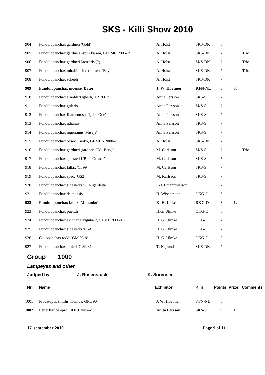| 904 | Fundulopanchax gardneri 'Gold'                     | A. Holst          | SKS-DK        | 6 |    |      |
|-----|----------------------------------------------------|-------------------|---------------|---|----|------|
| 905 | Fundulopanchax gardneri ssp 'Akaram, BLLMC 2005-1' | A. Holst          | SKS-DK        | 7 |    | Trio |
| 906 | Fundulopanchax gardneri lacustris (?)              | A. Holst          | SKS-DK        | 7 |    | Trio |
| 907 | Fundulopanchax mirabilis intermittens 'Bayok'      | A. Holst          | SKS-DK        | 7 |    | Trio |
| 908 | Fundulopanchax scheeli                             | A. Holst          | SKS-DK        | 7 |    |      |
| 909 | Fundulopanchax moense 'Bator'                      | J. W. Hoetmer     | <b>KFN-NL</b> | 8 | 3. |      |
| 910 | Fundulopanchax arnoldi 'Ughelli, TR 2001'          | Anita Persson     | SKS-S         | 7 |    |      |
| 911 | Fundulopanchax gularis                             | Anita Persson     | SKS-S         | 7 |    |      |
| 912 | Fundulopanchax filamentosus 'Ijebu Ode'            | Anita Persson     | SKS-S         | 7 |    |      |
| 913 | Fundulopanchax ndianus                             | Anita Persson     | SKS-S         | 7 |    |      |
| 914 | Fundulopanchax nigerianus 'Misaje'                 | Anita Persson     | SKS-S         | 7 |    |      |
| 915 | Fundulopanchax oeseri 'Bioko, GEMHS 2000-45'       | A. Holst          | SKS-DK        | 7 |    |      |
| 916 | Fundulopanchax gardneri gardneri 'Udi-Berge'       | M. Carlsson       | SKS-S         | 7 |    | Trio |
| 917 | Fundulopanchax sjoestedti 'Blue Gularis'           | M. Carlsson       | SKS-S         | 5 |    |      |
| 918 | Fundulopanchax fallax 'CI 99'                      | M. Carlsson       | SKS-S         | 7 |    |      |
| 919 | Fundulopanchax spec. GS2                           | M. Karlsson       | SKS-S         | 7 |    |      |
| 920 | Fundulopanchax sjoestedti 'CI Nigerdelta'          | C-J. Emannuelsson |               | 7 |    |      |
| 921 | Fundulopanchax deltaensis                          | H. Wischmann      | DKG-D         | 6 |    |      |
| 922 | Fundulopanchax fallax 'Mouanko'                    | K. H. Lüke        | DKG-D         | 8 | 1. |      |
| 923 | Fundulopanchax puerzli                             | H.G. Ulmke        | DKG-D         | 6 |    |      |
| 924 | Fundulopanchax avichang 'Nguba 2, GEML 2000-16'    | H. G. Ulmke       | DKG-D         | 7 |    |      |
| 925 | Fundulopanchax sjoestedti 'USA'                    | H. G. Ulmke       | DKG-D         | 7 |    |      |
| 926 | Callopanchax toddi 'GM 08-9'                       | H. G. Ulmke       | DKG-D         | 5 |    |      |
| 927 | Fundulopanchax amieti 'C 89-31'                    | T. Nejlund        | SKS-DK        | 7 |    |      |

## **Group 1000**

#### *Lampeyes and other*

|      | Judged by:                         | J. Rosenstock | K. Sørensen          |        |   |    |                              |  |
|------|------------------------------------|---------------|----------------------|--------|---|----|------------------------------|--|
| Nr.  | <b>Name</b>                        |               | <b>Exhibitor</b>     | Killi  |   |    | <b>Points Prize Comments</b> |  |
| 1001 | Procatopus similis 'Kumba, GPE 90' |               | J. W. Hoetmer        | KFN-NL | 6 |    |                              |  |
| 1002 | Fenerbahce spec. 'AVD 2007-2'      |               | <b>Anita Persson</b> | SKS-S  | 9 | 1. |                              |  |

**17. september 2010 Page 9 of 11**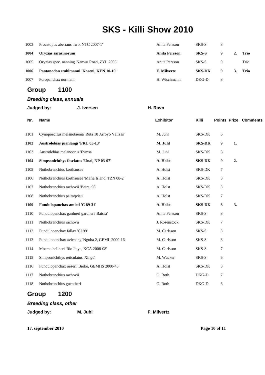| 1003 | Procatopus aberrans Two, NTC 2007-1'         | Anita Persson      | SKS-S         | 8 |              |      |
|------|----------------------------------------------|--------------------|---------------|---|--------------|------|
| 1004 | Orvzias sarasinorum                          | Anita Persson      | <b>SKS-S</b>  | 9 |              | Trio |
| 1005 | Oryzias spec. nanning 'Nanwu Road, ZYL 2005' | Anita Persson      | SKS-S         |   |              | Trio |
| 1006 | Pantanodon stuhlmanni 'Koreni, KEN 10-10'    | <b>F. Milvertz</b> | <b>SKS-DK</b> | 9 | $\mathbf{3}$ | Trio |
| 1007 | Poropanchax normani                          | H. Wischmann       | DKG-D         | 8 |              |      |

### **Group 1100**

|      | <b>Breeding class, annuals</b>                     |                  |               |         |    |                              |  |
|------|----------------------------------------------------|------------------|---------------|---------|----|------------------------------|--|
|      | Judged by:<br>J. Iversen                           | H. Ravn          |               |         |    |                              |  |
| Nr.  | <b>Name</b>                                        | <b>Exhibitor</b> | Killi         |         |    | <b>Points Prize Comments</b> |  |
| 1101 | Cynopoecilus melanotaenia 'Ruta 10 Arroyo Valizas' | M. Juhl          | SKS-DK        | 6       |    |                              |  |
| 1102 | Austrolebias juanlangi 'FRU 05-13'                 | M. Juhl          | <b>SKS-DK</b> | 9       | 1. |                              |  |
| 1103 | Austrolebias melanoorus 'Fymsa'                    | M. Juhl          | SKS-DK        | $\,8\,$ |    |                              |  |
| 1104 | Simpsonichthys fasciatus 'Unai, NP 03-07'          | A. Holst         | <b>SKS-DK</b> | 9       | 2. |                              |  |
| 1105 | Nothobranchius korthausae                          | A. Holst         | SKS-DK        | 7       |    |                              |  |
| 1106 | Nothobranchius korthausae 'Mafia Island, TZN 08-2' | A. Holst         | SKS-DK        | 8       |    |                              |  |
| 1107 | Nothobranchius rachovii 'Beira, 98'                | A. Holst         | SKS-DK        | 8       |    |                              |  |
| 1108 | Nothobranchius palmqvisti                          | A. Holst         | SKS-DK        | 7       |    |                              |  |
| 1109 | Fundulopanchax amieti 'C 89-31'                    | A. Holst         | <b>SKS-DK</b> | 8       | 3. |                              |  |
| 1110 | Fundulopanchax gardneri gardneri 'Baissa'          | Anita Persson    | SKS-S         | 8       |    |                              |  |
| 1111 | Nothobranchius rachovii                            | J. Rosenstock    | SKS-DK        | 7       |    |                              |  |
| 1112 | Fundulopanchax fallax 'CI 99'                      | M. Carlsson      | SKS-S         | 8       |    |                              |  |
| 1113 | Fundulopanchax avichang 'Nguba 2, GEML 2000-16'    | M. Carlsson      | SKS-S         | 8       |    |                              |  |
| 1114 | Moema hellneri 'Rio Itaya, KCA 2008-08'            | M. Carlsson      | SKS-S         | $\tau$  |    |                              |  |
| 1115 | Simpsonichthys reticulatus 'Xingu'                 | M. Wacker        | SKS-S         | 6       |    |                              |  |
| 1116 | Fundulopanchax oeseri 'Bioko, GEMHS 2000-45'       | A. Holst         | SKS-DK        | 8       |    |                              |  |
| 1117 | Nothobranchius rachovii                            | O. Roth          | DKG-D         | 7       |    |                              |  |
| 1118 | Nothobranchius guentheri                           | O. Roth          | DKG-D         | 6       |    |                              |  |
|      | 1200<br>Groun                                      |                  |               |         |    |                              |  |

#### **Group 1200**

### *Breeding class, other*

**Judged by: M. Juhl F. Milvertz**

**17. september 2010 Page 10 of 11**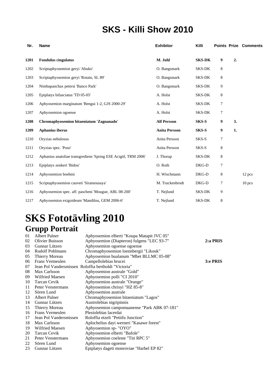| Nr.  | Name                                                           | <b>Exhibitor</b>     | Killi         |   |    | <b>Points Prize Comments</b> |
|------|----------------------------------------------------------------|----------------------|---------------|---|----|------------------------------|
| 1201 | <b>Fundulus cingulatus</b>                                     | M. Juhl              | <b>SKS-DK</b> | 9 | 2. |                              |
| 1202 | Scriptaphyosemion geryi 'Abuko'                                | O. Bangsmark         | <b>SKS-DK</b> | 8 |    |                              |
| 1203 | Scriptaphyosemion geryi 'Rotain, SL 89'                        | O. Bangsmark         | <b>SKS-DK</b> | 8 |    |                              |
| 1204 | Nimbapanchax petersi 'Banco Park'                              | O. Bangsmark         | SKS-DK        | 9 |    |                              |
| 1205 | Epiplatys bifasciatus 'TD 05-05'                               | A. Holst             | SKS-DK        | 8 |    |                              |
| 1206 | Aphyosemion marginatum 'Bengui 1-2, GJS 2000-29'               | A. Holst             | SKS-DK        | 7 |    |                              |
| 1207 | Aphyosemion ogoense                                            | A. Holst             | <b>SKS-DK</b> | 7 |    |                              |
| 1208 | Chromaphyosemion bitaeniatum 'Zagnanado'                       | <b>Alf Persson</b>   | SKS-S         | 9 | 3. |                              |
| 1209 | Aphanius iberus                                                | <b>Anita Persson</b> | SKS-S         | 9 | 1. |                              |
| 1210 | Oryzias nebulosus                                              | Anita Persson        | SKS-S         | 7 |    |                              |
| 1211 | Oryzias spec. 'Poso'                                           | Anita Persson        | SKS-S         | 8 |    |                              |
| 1212 | Aphanius anatoliae transgrediens 'Spring ESE Acigöl, TRM 2006' | J. Thorup            | <b>SKS-DK</b> | 8 |    |                              |
| 1213 | Epiplatys zenkeri 'Bidou'                                      | O. Roth              | DKG-D         | 7 |    |                              |
| 1214 | Aphyosemion boehmi                                             | H. Wischmann         | DKG-D         | 8 |    | 12 pcs                       |
| 1215 | Scriptaphyosemion cauveti 'Siramousaya'                        | M. Truckenbrodt      | DKG-D         | 7 |    | $10$ pcs                     |
| 1216 | Aphyosemion spec. aff. pascheni 'Mougue, ABL 08-200'           | T. Nejlund           | <b>SKS-DK</b> | 9 |    |                              |
| 1217 | Aphyosemion exigoideum 'Mandilou, GEM 2006-6'                  | T. Nejlund           | SKS-DK        | 8 |    |                              |

## **SKS Fototävling 2010 Grupp Portrait**

| 01 | <b>Albert Palner</b>   | Aphyosemion elberti "Koupa Matapit JVC 05"           |          |
|----|------------------------|------------------------------------------------------|----------|
| 02 | <b>Olivier Buisson</b> | Aphyosemion (Diapteron) fulgens "LEC 93-7"           | 2:a PRIS |
| 03 | Gunnar Lützen          | Aphyosemion ogoense ogoense                          |          |
| 04 | Rudolf Pohlmann        | Chromaphyosemion loennbergii "Likouk"                |          |
| 05 | Thierry Moreau         | Aphyosemion bualanum "Mbet BLLMC 05-08"              |          |
| 06 | Frans Vermeulen        | Campellolebias brucei                                | 3:e PRIS |
| 07 |                        | Jean Pol Vandersmissen Roloffia bertholdi "Victoria" |          |
| 08 | Max Carlsson           | Aphyosemion australe "Gold"                          |          |
| 09 | Wilfried Maesen        | Aphyosemion polli "CI 2010"                          |          |
| 10 | <b>Tarcan Cevik</b>    | Aphyosemion australe "Orange"                        |          |
| 11 | Peter Venstermans      | Aphyosemion chrisyi "HZ 85-8"                        |          |
| 12 | Sören Lund             | Aphyosemion australe                                 |          |
| 13 | <b>Albert Palner</b>   | Chromaphyosemion bitaeniatum "Lagos"                 |          |
| 14 | Gunnar Lützen          | Austrolebias nigripinnis                             |          |
| 15 | Thierry Moreau         | Aphyosemion campomaanense "Park ABK 07-181"          |          |
| 16 | Frans Vermeulen        | Plesiolebias lacerdai                                |          |
| 17 | Jean Pol Vandersmissen | Roloffia etzeli "Petitfu Junction"                   |          |
| 18 | Max Carlsson           | Aplochelius dayi werneri "Kasawe forest"             |          |
| 19 | <b>Wilfried Maesen</b> | Aphyosemion sp- "OYO"                                |          |
| 20 | <b>Tarcan Cevik</b>    | Aphyosemion elberti "Bafole"                         |          |
| 21 | Peter Venstermans      | Aphyosemion coeleste "Titi RPC 5"                    |          |
| 22 | Sören Lund             | Aphyosemion ogoense                                  |          |
| 23 | Gunnar Lützen          | Epiplatys dageti monroviae "Harbel EP 82"            |          |